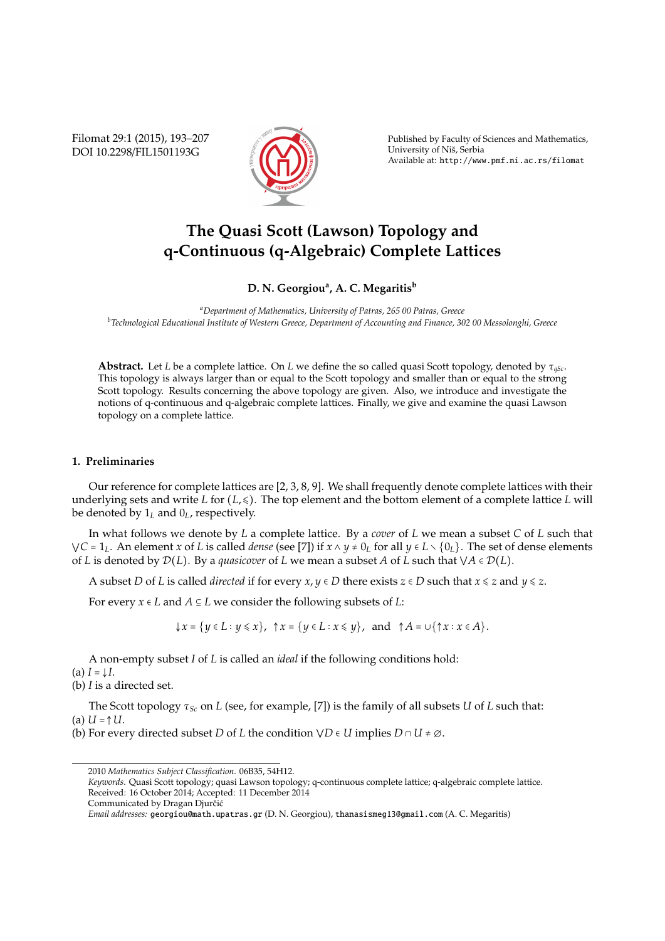Filomat 29:1 (2015), 193–207 DOI 10.2298/FIL1501193G



Published by Faculty of Sciences and Mathematics, University of Nis, Serbia ˇ Available at: http://www.pmf.ni.ac.rs/filomat

# **The Quasi Scott (Lawson) Topology and q-Continuous (q-Algebraic) Complete Lattices**

# **D. N. Georgiou<sup>a</sup> , A. C. Megaritis<sup>b</sup>**

*<sup>a</sup>Department of Mathematics, University of Patras, 265 00 Patras, Greece <sup>b</sup>Technological Educational Institute of Western Greece, Department of Accounting and Finance, 302 00 Messolonghi, Greece*

**Abstract.** Let *L* be a complete lattice. On *L* we define the so called quasi Scott topology, denoted by τ*qSc*. This topology is always larger than or equal to the Scott topology and smaller than or equal to the strong Scott topology. Results concerning the above topology are given. Also, we introduce and investigate the notions of q-continuous and q-algebraic complete lattices. Finally, we give and examine the quasi Lawson topology on a complete lattice.

## **1. Preliminaries**

Our reference for complete lattices are [2, 3, 8, 9]. We shall frequently denote complete lattices with their underlying sets and write *L* for (*L*,  $\leq$ ). The top element and the bottom element of a complete lattice *L* will be denoted by 1*<sup>L</sup>* and 0*L*, respectively.

In what follows we denote by *L* a complete lattice. By a *cover* of *L* we mean a subset *C* of *L* such that *VC* = 1<sub>L</sub>. An element *x* of *L* is called *dense* (see [7]) if  $x \land y ≠ 0$ <sub>*L*</sub> for all  $y ∈ L \setminus \{0_L\}$ . The set of dense elements of *L* is denoted by  $\mathcal{D}(L)$ . By a *quasicover* of *L* we mean a subset *A* of *L* such that  $\forall A \in \mathcal{D}(L)$ .

A subset *D* of *L* is called *directed* if for every  $x, y \in D$  there exists  $z \in D$  such that  $x \le z$  and  $y \le z$ .

For every  $x \in L$  and  $A \subseteq L$  we consider the following subsets of  $L$ :

 $\downarrow$ *x* = {*y* ∈ *L* ∶ *y* ≤ *x*}, ↑*x* = {*y* ∈ *L* ∶ *x* ≤ *y*}, and ↑*A* = ∪{↑*x* ∶ *x* ∈ *A*}.

A non-empty subset *I* of *L* is called an *ideal* if the following conditions hold:  $I = \downarrow I$ .

(b) *I* is a directed set.

The Scott topology τ*Sc* on *L* (see, for example, [7]) is the family of all subsets *U* of *L* such that:  $(Ia) U = \uparrow U$ .

(b) For every directed subset *D* of *L* the condition  $\vee D \in U$  implies  $D \cap U \neq \emptyset$ .

<sup>2010</sup> *Mathematics Subject Classification*. 06B35, 54H12.

*Keywords*. Quasi Scott topology; quasi Lawson topology; q-continuous complete lattice; q-algebraic complete lattice. Received: 16 October 2014; Accepted: 11 December 2014

Communicated by Dragan Djurčić

*Email addresses:* georgiou@math.upatras.gr (D. N. Georgiou), thanasismeg13@gmail.com (A. C. Megaritis)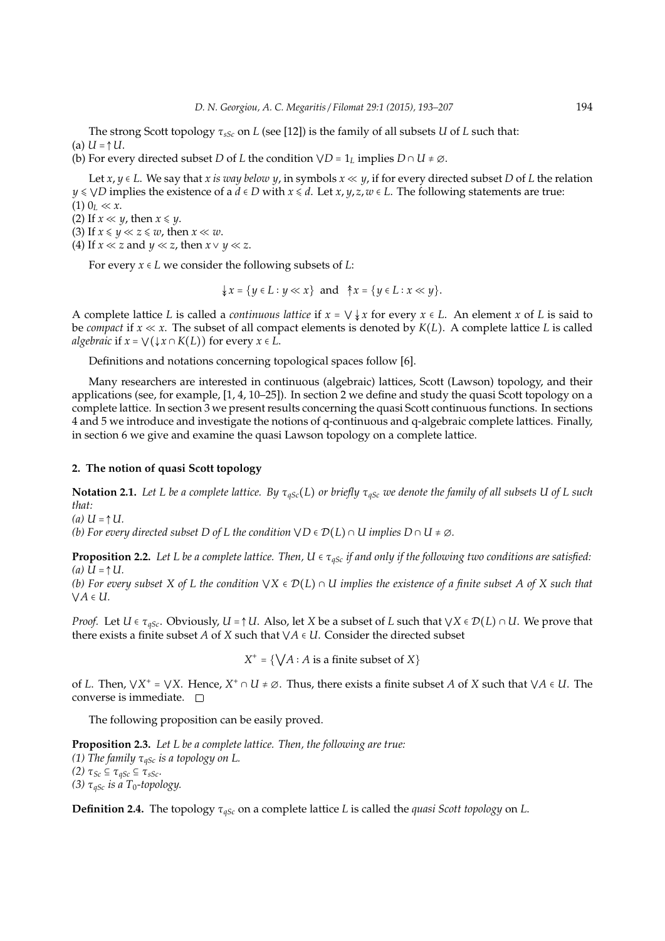The strong Scott topology τ*sSc* on *L* (see [12]) is the family of all subsets *U* of *L* such that:  $(Ia) U = \uparrow U$ .

(b) For every directed subset *D* of *L* the condition  $\forall D = 1_L$  implies  $D \cap U \neq \emptyset$ .

Let  $x, y \in L$ . We say that *x is way below y*, in symbols  $x \ll y$ , if for every directed subset *D* of *L* the relation *y* ≤  $\vee$ *D* implies the existence of a *d* ∈ *D* with *x* ≤ *d*. Let *x*, *y*, *z*, *w* ∈ *L*. The following statements are true:  $(1)$   $0_L \ll x$ .

(2) If  $x \ll y$ , then  $x \leq y$ .

(3) If  $x \leq y \ll z \leq w$ , then  $x \ll w$ .

(4) If  $x \ll z$  and  $y \ll z$ , then  $x \lor y \ll z$ .

For every *x* ∈ *L* we consider the following subsets of *L*:

$$
\{x = \{y \in L : y \ll x\} \text{ and } \hat{\uparrow} x = \{y \in L : x \ll y\}.
$$

A complete lattice *L* is called a *continuous lattice* if  $x = \vee \downarrow x$  for every  $x \in L$ . An element *x* of *L* is said to be *compact* if  $x \ll x$ . The subset of all compact elements is denoted by  $K(L)$ . A complete lattice L is called *algebraic* if  $x = \bigvee(\downarrow x \cap K(L))$  for every  $x \in L$ .

Definitions and notations concerning topological spaces follow [6].

Many researchers are interested in continuous (algebraic) lattices, Scott (Lawson) topology, and their applications (see, for example, [1, 4, 10–25]). In section 2 we define and study the quasi Scott topology on a complete lattice. In section 3 we present results concerning the quasi Scott continuous functions. In sections 4 and 5 we introduce and investigate the notions of q-continuous and q-algebraic complete lattices. Finally, in section 6 we give and examine the quasi Lawson topology on a complete lattice.

#### **2. The notion of quasi Scott topology**

**Notation 2.1.** *Let L be a complete lattice. By* τ*qSc*(*L*) *or briefly* τ*qSc we denote the family of all subsets U of L such that:*

*(a) U* = ↑*U. (b)* For every directed subset D of L the condition  $\forall D \in \mathcal{D}(L) \cap U$  *implies*  $D \cap U \neq \emptyset$ *.* 

**Proposition 2.2.** Let L be a complete lattice. Then,  $U \in \tau_{aSc}$  if and only if the following two conditions are satisfied:  $(a) U = \uparrow U$ .

*(b) For every subset X of L the condition*  $\forall X \in \mathcal{D}(L) \cap U$  *implies the existence of a finite subset A of X such that* ⋁*A* ∈ *U.*

*Proof.* Let *U*  $\in \tau_{qSc}$ . Obviously, *U* =  $\uparrow$  *U*. Also, let *X* be a subset of *L* such that  $\forall X \in \mathcal{D}(L) \cap U$ . We prove that there exists a finite subset *A* of *X* such that  $\forall A \in U$ . Consider the directed subset

 $X^+ = \{ \bigvee A : A \text{ is a finite subset of } X \}$ 

of *L*. Then,  $\forall X^+ = \forall X$ . Hence,  $X^+ \cap U \neq \emptyset$ . Thus, there exists a finite subset *A* of *X* such that  $\forall A \in U$ . The converse is immediate.  $\square$ 

The following proposition can be easily proved.

**Proposition 2.3.** *Let L be a complete lattice. Then, the following are true: (1) The family* τ*qSc is a topology on L. (2)*  $τ_{Sc}$  ⊆  $τ_{qSc}$  ⊆  $τ_{sSc}$ . *(3)*  $\tau_{qSc}$  *is a*  $T_0$ -topology.

**Definition 2.4.** The topology τ*qSc* on a complete lattice *L* is called the *quasi Scott topology* on *L*.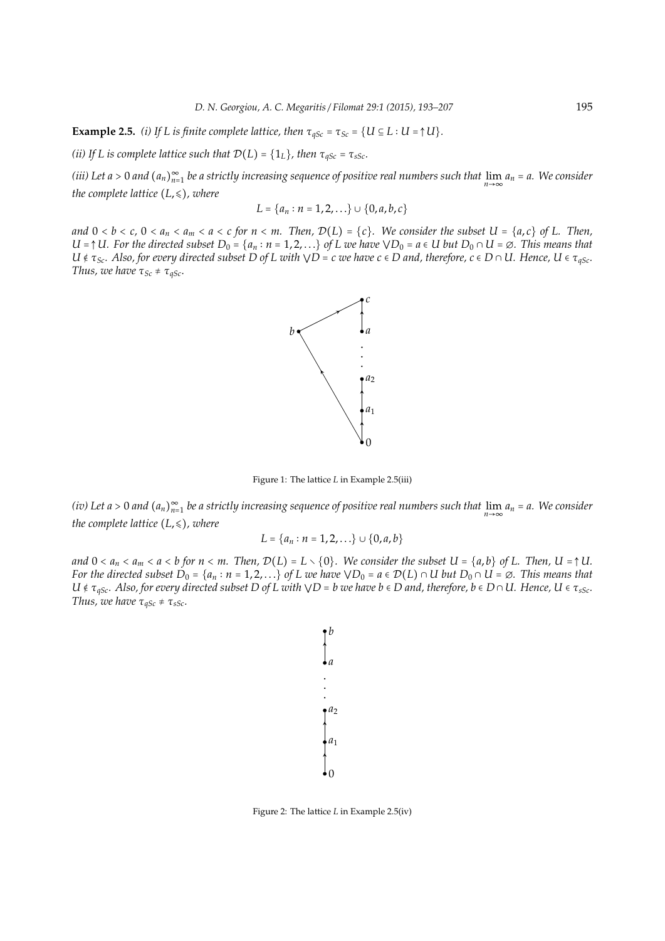**Example 2.5.** *(i) If L* is finite complete lattice, then  $\tau_{qSc} = \tau_{Sc} = \{U \subseteq L : U = \uparrow U\}$ .

*(ii)* If L is complete lattice such that  $\mathcal{D}(L) = \{1_L\}$ , then  $\tau_{qSc} = \tau_{sSc}$ .

(*iii*) Let a > 0 and  $(a_n)_{n=1}^{\infty}$  be a strictly increasing sequence of positive real numbers such that  $\lim_{n\to\infty} a_n = a$ . We consider *the complete lattice*  $(L, \leq)$ *, where* 

$$
L = \{a_n : n = 1, 2, \ldots\} \cup \{0, a, b, c\}
$$

*and*  $0 < b < c$ ,  $0 < a_n < a_m < a < c$  for  $n < m$ . Then,  $\mathcal{D}(L) = \{c\}$ . We consider the subset  $U = \{a, c\}$  of L. Then, *U* =  $\uparrow$  *U.* For the directed subset D<sub>0</sub> = { $a_n$  ∶ *n* = 1, 2, . . .} of L we have  $\vee$  D<sub>0</sub> =  $a \in U$  but D<sub>0</sub> ∩ *U* =  $\emptyset$ . This means that  $U \notin \tau_{Sc}$ . Also, for every directed subset D of L with  $\forall D = c$  we have  $c \in D$  and, therefore,  $c \in D \cap U$ . Hence,  $U \in \tau_{qSc}$ . *Thus, we have*  $\tau_{Sc} \neq \tau_{qSc}$ *.* 



Figure 1: The lattice *L* in Example 2.5(iii)

*(iv) Let a* > 0 *and* (*an*) ∞ *n*=1 *be a strictly increasing sequence of positive real numbers such that* lim*n*→∞ *a<sup>n</sup>* = *a. We consider the complete lattice*  $(L, \leq)$ *, where* 

$$
L = \{a_n : n = 1, 2, \ldots\} \cup \{0, a, b\}
$$

*and*  $0 < a_n < a_m < a < b$  for  $n < m$ . Then,  $\mathcal{D}(L) = L \setminus \{0\}$ . We consider the subset  $U = \{a, b\}$  of L. Then,  $U = \uparrow U$ . *For the directed subset*  $D_0 = \{a_n : n = 1, 2, ...\}$  *of L we have*  $\vee D_0 = a \in \mathcal{D}(L) \cap U$  *but*  $D_0 \cap U = \emptyset$ *. This means that*  $U \notin \tau_{qSc}$ . Also, for every directed subset D of *L* with  $\forall D = b$  we have  $b \in D$  and, therefore,  $b \in D \cap U$ . Hence,  $U \in \tau_{sSc}$ . *Thus, we have*  $\tau_{qSc} \neq \tau_{sSc}$ *.* 



Figure 2: The lattice *L* in Example 2.5(iv)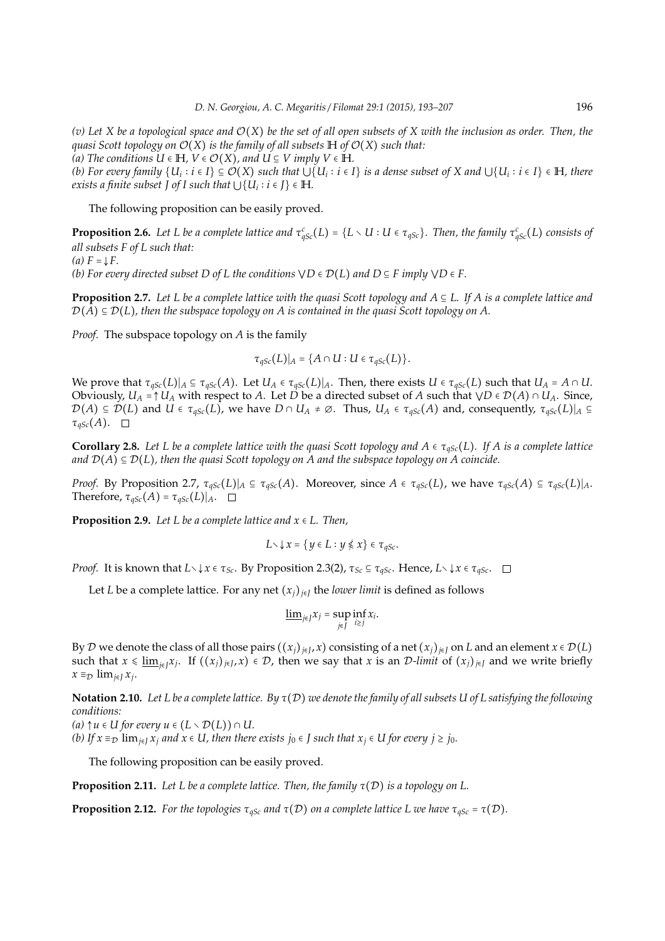*(v) Let X be a topological space and* O(*X*) *be the set of all open subsets of X with the inclusion as order. Then, the guasi Scott topology on*  $\mathcal{O}(X)$  *is the family of all subsets*  $H$  *of*  $\mathcal{O}(X)$  *such that:* 

 $(A)$  The conditions  $U \in H$ ,  $V \in \mathcal{O}(X)$ , and  $U \subseteq V$  imply  $V \in H$ .

(b) For every family  $\{U_i : i \in I\} \subseteq O(X)$  such that  $\bigcup \{U_i : i \in I\}$  is a dense subset of X and  $\bigcup \{U_i : i \in I\} \in \mathbb{H}$ , there *exists a finite subset*  $\overline{J}$  *of I such that*  $\overline{\bigcup\{U_i : i \in J\}} \in \mathbb{H}$ *.* 

The following proposition can be easily proved.

**Proposition 2.6.** Let L be a complete lattice and  $\tau_{qSc}^c(L) = \{L \setminus U : U \in \tau_{qSc}\}$ . Then, the family  $\tau_{qSc}^c(L)$  consists of *all subsets F of L such that:*

 $(a)$   $F = \mathbf{F}$ .

*(b)* For every directed subset D of L the conditions  $\forall D \in \mathcal{D}(L)$  and  $D \subseteq F$  imply  $\forall D \in F$ .

**Proposition 2.7.** *Let L be a complete lattice with the quasi Scott topology and A* ⊆ *L. If A is a complete lattice and*  $\mathcal{D}(A) \subseteq \mathcal{D}(L)$ , then the subspace topology on A is contained in the quasi Scott topology on A.

*Proof.* The subspace topology on *A* is the family

$$
\tau_{qSc}(L)|_A = \{A \cap U : U \in \tau_{qSc}(L)\}.
$$

We prove that  $\tau_{qSc}(L)|_A \subseteq \tau_{qSc}(A)$ . Let  $U_A \in \tau_{qSc}(L)|_A$ . Then, there exists  $U \in \tau_{qSc}(L)$  such that  $U_A = A \cap U$ . Obviously,  $U_A = \uparrow U_A$  with respect to *A*. Let *D* be a directed subset of *A* such that  $\forall D \in \mathcal{D}(A) \cap U_A$ . Since,  $\mathcal{D}(A) \subseteq \mathcal{D}(L)$  and  $U \in \tau_{qSc}(L)$ , we have  $D \cap U_A \neq \emptyset$ . Thus,  $U_A \in \tau_{qSc}(A)$  and, consequently,  $\tau_{qSc}(L)|_A \subseteq$  $\tau_{qSc}(A)$ .  $\Box$ 

**Corollary 2.8.** Let L be a complete lattice with the quasi Scott topology and  $A \in \tau_{qSc}(L)$ . If A is a complete lattice *and*  $\mathcal{D}(A) \subseteq \mathcal{D}(L)$ *, then the quasi Scott topology on A and the subspace topology on A coincide.* 

*Proof.* By Proposition 2.7,  $\tau_{qSc}(L)|_A$  ⊆  $\tau_{qSc}(A)$ . Moreover, since *A* ∈  $\tau_{qSc}(L)$ , we have  $\tau_{qSc}(A)$  ⊆  $\tau_{qSc}(L)|_A$ . Therefore,  $\tau_{qSc}(A) = \tau_{qSc}(L)|_A$ .  $\Box$ 

**Proposition 2.9.** *Let L be a complete lattice and x* ∈ *L. Then,*

$$
L\setminus\downarrow x=\{y\in L:y\nleq x\}\in\tau_{qSc}.
$$

*Proof.* It is known that  $L \setminus \{x \in \tau_{Sc} \}$ . By Proposition 2.3(2),  $\tau_{Sc} \subseteq \tau_{gSc}$ . Hence,  $L \setminus \{x \in \tau_{gSc} \}$ .

Let *L* be a complete lattice. For any net  $(x_j)_{j \in J}$  the *lower limit* is defined as follows

$$
\underline{\lim}_{j\in J}x_j=\sup_{j\in J}\inf_{i\geq j}x_i.
$$

By D we denote the class of all those pairs  $((x_j)_{j\in J}, x)$  consisting of a net  $(x_j)_{j\in J}$  on *L* and an element  $x \in \mathcal{D}(L)$ such that  $x \leq \underline{\lim}_{j \in J} x_j$ . If  $((x_j)_{j \in J}, x) \in \mathcal{D}$ , then we say that  $x$  is an  $\mathcal{D}\text{-}\underline{\lim}$  of  $(x_j)_{j \in J}$  and we write briefly  $x \equiv D$  lim<sub>*j*∈*J*</sub>  $x_j$ .

**Notation 2.10.** *Let L be a complete lattice. By* τ(D) *we denote the family of all subsets U of L satisfying the following conditions:*

*(a)*  $\uparrow u$  ∈ *U for every*  $u$  ∈  $(L \setminus \mathcal{D}(L)) \cap U$ .

*(b)* If  $x \equiv_D \lim_{i \in I} x_i$  *and*  $x \in U$ , *then there exists*  $j_0 \in J$  *such that*  $x_i \in U$  *for every*  $j \ge j_0$ *.* 

The following proposition can be easily proved.

**Proposition 2.11.** *Let L be a complete lattice. Then, the family* τ(D) *is a topology on L.*

**Proposition 2.12.** *For the topologies*  $\tau_{qSc}$  *and*  $\tau(\mathcal{D})$  *on a complete lattice L* we have  $\tau_{qSc} = \tau(\mathcal{D})$ *.*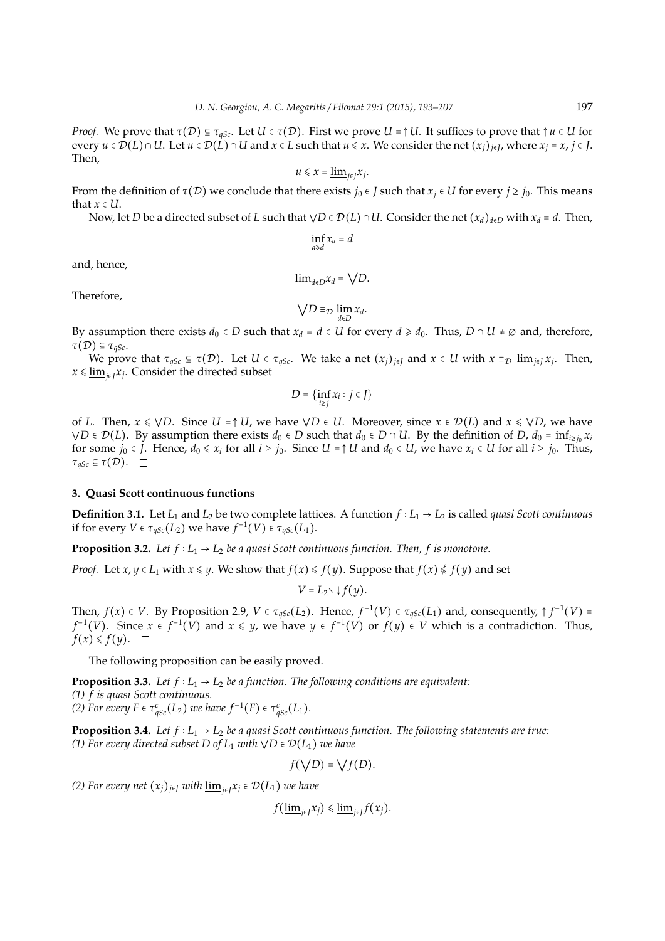*Proof.* We prove that  $\tau(\mathcal{D}) \subseteq \tau_{qSc}$ . Let  $U \in \tau(\mathcal{D})$ . First we prove  $U = \uparrow U$ . It suffices to prove that  $\uparrow u \in U$  for every  $u \in \mathcal{D}(L) \cap U$ . Let  $u \in \mathcal{D}(L) \cap U$  and  $x \in L$  such that  $u \leq x$ . We consider the net  $(x_j)_{j \in J}$ , where  $x_j = x$ ,  $j \in J$ . Then,

$$
u\leq x=\underline{\lim}_{j\in J}x_j.
$$

From the definition of  $\tau(\mathcal{D})$  we conclude that there exists  $j_0 \in J$  such that  $x_i \in U$  for every  $j \ge j_0$ . This means that  $x \in U$ .

Now, let *D* be a directed subset of *L* such that  $\forall D \in \mathcal{D}(L) \cap U$ . Consider the net  $(x_d)_{d \in D}$  with  $x_d = d$ . Then,

$$
\inf_{a\geqslant d}x_a=d
$$

and, hence,

$$
\underline{\lim}_{d\in D}x_d=\bigvee D.
$$

Therefore,

$$
\bigvee D \equiv_{\mathcal{D}} \lim_{d \in D} x_d.
$$

By assumption there exists  $d_0 \in D$  such that  $x_d = d \in U$  for every  $d \geq d_0$ . Thus,  $D \cap U \neq \emptyset$  and, therefore,  $\tau(\mathcal{D}) \subseteq \tau_{\text{qSc}}$ .

We prove that  $\tau_{qSc} \subseteq \tau(\mathcal{D})$ . Let  $U \in \tau_{qSc}$ . We take a net  $(x_j)_{j \in J}$  and  $x \in U$  with  $x \equiv_{\mathcal{D}} \lim_{j \in J} x_j$ . Then, *<sup>x</sup>* <sup>⩽</sup> lim*j*∈*<sup>J</sup> xj* . Consider the directed subset

$$
D=\{\inf_{i\geq j}x_i:j\in J\}
$$

of *L*. Then,  $x \le \sqrt{D}$ . Since  $U = \uparrow U$ , we have  $\sqrt{D} \in U$ . Moreover, since  $x \in \mathcal{D}(L)$  and  $x \le \sqrt{D}$ , we have  $\forall D \in \mathcal{D}(L)$ *. By assumption there exists <i>d*<sub>0</sub> ∈ *D* such that *d*<sub>0</sub> ∈ *D* ∩ *U*. By the definition of *D*, *d*<sub>0</sub> = inf<sub>*i*≥*j*0</sub> *x*<sub>*i*</sub> for some  $j_0 \in J$ . Hence,  $d_0 \le x_i$  for all  $i \ge j_0$ . Since  $U = \uparrow U$  and  $d_0 \in U$ , we have  $x_i \in U$  for all  $i \ge j_0$ . Thus,  $\tau_{qSc} \subseteq \tau(\mathcal{D}).$ 

#### **3. Quasi Scott continuous functions**

**Definition 3.1.** Let  $L_1$  and  $L_2$  be two complete lattices. A function  $f: L_1 \rightarrow L_2$  is called *quasi Scott continuous* if for every  $V \in \tau_{qSc}(L_2)$  we have  $f^{-1}(V) \in \tau_{qSc}(L_1)$ .

**Proposition 3.2.** *Let*  $f: L_1 \rightarrow L_2$  *be a quasi Scott continuous function. Then, f is monotone.* 

*Proof.* Let  $x, y \in L_1$  with  $x \leq y$ . We show that  $f(x) \leq f(y)$ . Suppose that  $f(x) \leq f(y)$  and set

$$
V=L_2\setminus\downarrow f(y).
$$

Then,  $f(x) \in V$ . By Proposition 2.9,  $V \in \tau_{qSc}(L_2)$ . Hence,  $f^{-1}(V) \in \tau_{qSc}(L_1)$  and, consequently,  $\uparrow f^{-1}(V) =$ *f*<sup>-1</sup>(*V*). Since *x* ∈ *f*<sup>-1</sup>(*V*) and *x* ≤ *y*, we have *y* ∈ *f*<sup>-1</sup>(*V*) or *f*(*y*) ∈ *V* which is a contradiction. Thus,  $f(x) \leq f(y).$ 

The following proposition can be easily proved.

**Proposition 3.3.** *Let f* ∶ *L*<sup>1</sup> → *L*<sup>2</sup> *be a function. The following conditions are equivalent: (1) f is quasi Scott continuous. (2) For every F*  $\in \tau_{qSc}^{c}(L_2)$  *we have*  $f^{-1}(F) \in \tau_{qSc}^{c}(L_1)$ *.* 

**Proposition 3.4.** *Let f* ∶ *L*<sup>1</sup> → *L*<sup>2</sup> *be a quasi Scott continuous function. The following statements are true: (1) For every directed subset D of*  $L_1$  *with*  $\forall D \in \mathcal{D}(L_1)$  *we have* 

$$
f(\bigvee D) = \bigvee f(D).
$$

*(2) For every net* (*xj*)*<sup>j</sup>*∈*<sup>J</sup> with* lim*<sup>j</sup>*∈*<sup>J</sup> x<sup>j</sup>* ∈ D(*L*1) *we have*

 $f(\underline{\lim}_{j\in J}x_j)\leqslant\underline{\lim}_{j\in J}f(x_j).$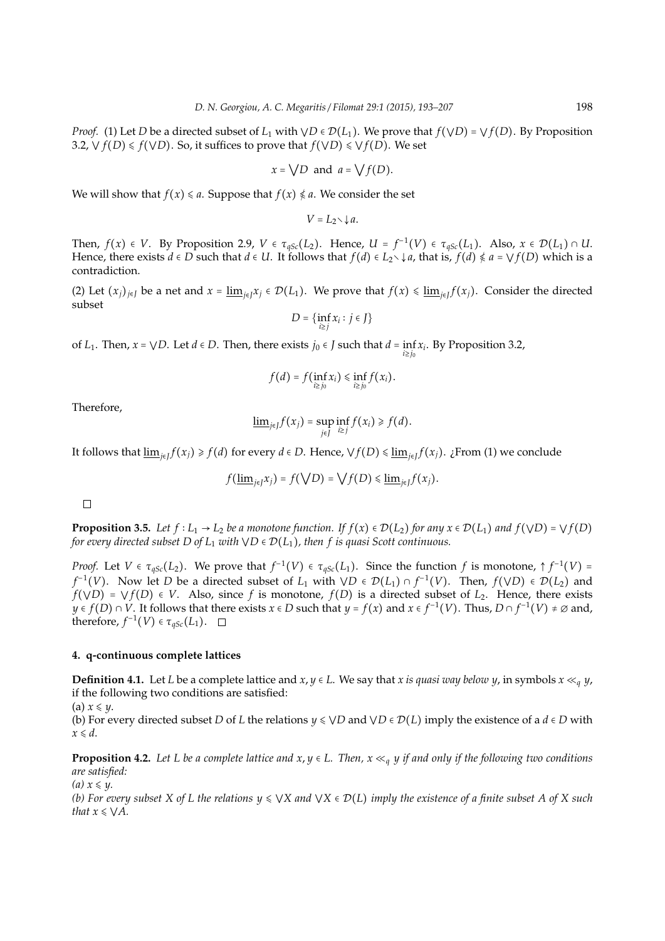*Proof.* (1) Let *D* be a directed subset of  $L_1$  with  $\forall D \in \mathcal{D}(L_1)$ . We prove that  $f(\forall D) = \forall f(D)$ . By Proposition 3.2,  $\vee$  *f*(*D*)  $\le$  *f*( $\vee$ *D*). So, it suffices to prove that *f*( $\vee$ *D*)  $\le$   $\vee$  *f*(*D*). We set

$$
x = \sqrt{D}
$$
 and  $a = \sqrt{f(D)}$ .

We will show that  $f(x) \le a$ . Suppose that  $f(x) \le a$ . We consider the set

 $V = L_2 \setminus \downarrow a$ .

Then,  $f(x) \in V$ . By Proposition 2.9,  $V \in \tau_{qSc}(L_2)$ . Hence,  $U = f^{-1}(V) \in \tau_{qSc}(L_1)$ . Also,  $x \in \mathcal{D}(L_1) \cap U$ . Hence, there exists  $d \in D$  such that  $d \in U$ . It follows that  $f(d) \in L_2 \setminus \{a\}$ , that is,  $f(d) \nleq a = \bigvee f(D)$  which is a contradiction.

(2) Let  $(x_j)_{j\in J}$  be a net and  $x = \underline{\lim}_{j\in J} x_j \in \mathcal{D}(L_1)$ . We prove that  $f(x) \leq \underline{\lim}_{j\in J} f(x_j)$ . Consider the directed subset

$$
D = \{\inf_{i \geq j} x_i : j \in J\}
$$

of *L*<sub>1</sub>. Then,  $x = \sqrt{D}$ . Let  $d \in D$ . Then, there exists  $j_0 \in J$  such that  $d = \inf x_i$ . By Proposition 3.2, *i*≥*j*<sup>0</sup>

$$
f(d) = f(\inf_{i \geq j_0} x_i) \leq \inf_{i \geq j_0} f(x_i).
$$

Therefore,

$$
\underline{\lim}_{j\in J}f(x_j)=\sup_{j\in J}\inf_{i\geq j}f(x_i)\geq f(d).
$$

It follows that  $\underline{\lim}_{j\in J}f(x_j)\geqslant f(d)$  for every  $d\in D.$  Hence,  $\vee f(D)\leqslant \underline{\lim}_{j\in J}f(x_j).$  ¿From (1) we conclude

$$
f(\underline{\lim}_{j\in J}x_j)=f(\bigvee D)=\bigvee f(D)\leq \underline{\lim}_{j\in J}f(x_j).
$$

 $\Box$ 

**Proposition 3.5.** *Let*  $f: L_1 \to L_2$  *be a monotone function.* If  $f(x) \in \mathcal{D}(L_2)$  *for any*  $x \in \mathcal{D}(L_1)$  *and*  $f(\forall D) = \forall f(D)$ *for every directed subset D of*  $L_1$  *with*  $\forall D \in \mathcal{D}(L_1)$ *, then f is quasi Scott continuous.* 

*Proof.* Let  $V \in \tau_{qSc}(L_2)$ . We prove that  $f^{-1}(V) \in \tau_{qSc}(L_1)$ . Since the function  $f$  is monotone,  $\uparrow f^{-1}(V) =$ *f*<sup>-1</sup>(*V*). Now let *D* be a directed subset of *L*<sub>1</sub> with  $\forall D \in \mathcal{D}(L_1) \cap f^{-1}(V)$ . Then,  $f(\forall D) \in \mathcal{D}(L_2)$  and  $f(\forall D) = \forall f(D) \in V$ . Also, since *f* is monotone,  $f(D)$  is a directed subset of  $L_2$ . Hence, there exists *y* ∈ *f*(*D*) ∩ *V*. It follows that there exists *x* ∈ *D* such that *y* = *f*(*x*) and *x* ∈ *f*<sup>-1</sup>(*V*). Thus, *D* ∩ *f*<sup>-1</sup>(*V*) ≠ ∅ and, therefore,  $f^{-1}(V) \in \tau_{qSc}(L_1)$ .

#### **4. q-continuous complete lattices**

**Definition 4.1.** Let *L* be a complete lattice and  $x, y \in L$ . We say that *x is quasi way below y*, in symbols  $x \ll_q y$ , if the following two conditions are satisfied:

(a)  $x \leq y$ .

(b) For every directed subset *D* of *L* the relations  $y \leq \forall D$  and  $\forall D \in \mathcal{D}(L)$  imply the existence of a  $d \in D$  with  $x \le d$ .

**Proposition 4.2.** *Let L be a complete lattice and x,*  $y \in L$ *. Then,*  $x \ll_q y$  *if and only if the following two conditions are satisfied:*

*(a)*  $x \leq y$ .

*(b) For every subset X of L the relations*  $y \leq \forall X$  *and*  $\forall X \in \mathcal{D}(L)$  *imply the existence of a finite subset A of X such that*  $x \leq \sqrt{A}$ *.*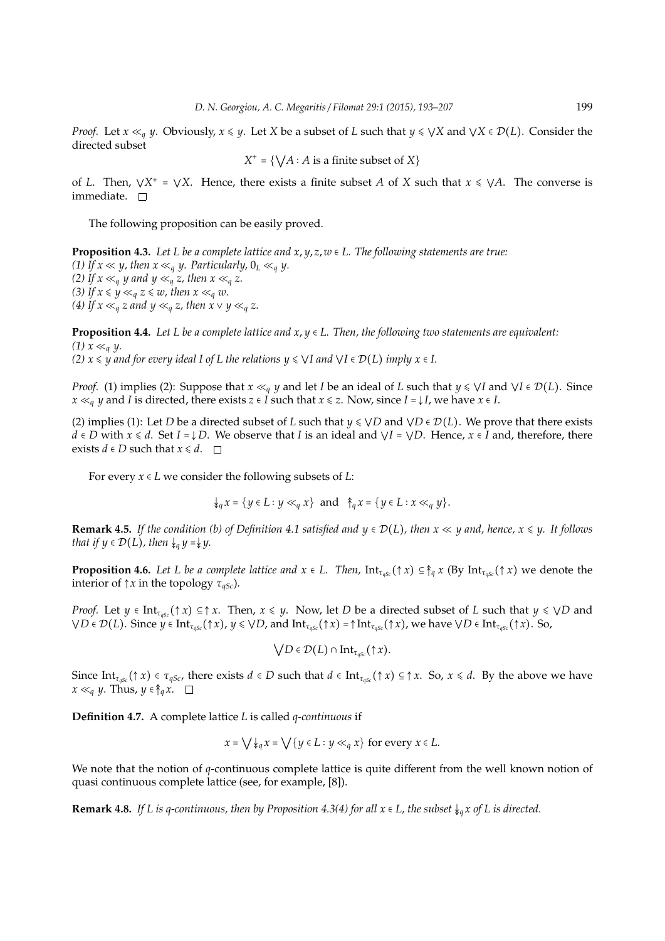*Proof.* Let  $x \ll_q y$ . Obviously,  $x \leq y$ . Let *X* be a subset of *L* such that  $y \leq \forall X$  and  $\forall X \in \mathcal{D}(L)$ . Consider the directed subset

$$
X^+ = \{ \bigvee A : A \text{ is a finite subset of } X \}
$$

of *L*. Then,  $\forall X^+ = \forall X$ . Hence, there exists a finite subset *A* of *X* such that  $x \leq \forall A$ . The converse is immediate.  $\square$ 

The following proposition can be easily proved.

**Proposition 4.3.** *Let L be a complete lattice and x*, *y*, *z*, *w* ∈ *L. The following statements are true: (1)* If  $x \ll y$ , then  $x \ll_q y$ . Particularly,  $0_L \ll_q y$ . *(2)* If  $x \ll_q y$  and  $y \ll_q z$ , then  $x \ll_q z$ . *(3)* If  $x \leq y \ll_q z \leq w$ , then  $x \ll_q w$ . *(4)* If  $x \ll_q z$  and  $y \ll_q z$ , then  $x \lor y \ll_q z$ .

**Proposition 4.4.** *Let L be a complete lattice and*  $x, y \in L$ *. Then, the following two statements are equivalent: (1)*  $x \ll_q y$ . *(2)*  $x \leq y$  *and for every ideal I of L the relations*  $y \leq \sqrt{I}$  *and*  $\sqrt{I} \in \mathcal{D}(L)$  *imply*  $x \in I$ *.* 

*Proof.* (1) implies (2): Suppose that  $x \ll_q y$  and let *I* be an ideal of *L* such that  $y \leq \forall I$  and  $\forall I \in \mathcal{D}(L)$ . Since *x*  $\ll$ <sub>*g*</sub> *y* and *I* is directed, there exists *z* ∈ *I* such that *x* ≤ *z*. Now, since *I* = ↓*I*, we have *x* ∈ *I*.

(2) implies (1): Let *D* be a directed subset of *L* such that  $y \leq \forall D$  and  $\forall D \in \mathcal{D}(L)$ . We prove that there exists *d* ∈ *D* with  $x \le d$ . Set  $I = \downarrow D$ . We observe that *I* is an ideal and  $\lor I = \lor D$ . Hence,  $x \in I$  and, therefore, there exists *d* ∈ *D* such that  $x \le d$ .  $\Box$ 

For every  $x \in L$  we consider the following subsets of *L*:

$$
\downarrow_q x = \{ y \in L : y \ll_q x \} \text{ and } \uparrow_q x = \{ y \in L : x \ll_q y \}.
$$

**Remark 4.5.** *If the condition (b) of Definition 4.1 satisfied and*  $y \in \mathcal{D}(L)$ *, then*  $x \ll y$  *and, hence,*  $x \leq y$ *. It follows that if*  $y \in \mathcal{D}(L)$ *, then*  $\downarrow_q y = \downarrow y$ *.* 

**Proposition 4.6.** *Let L be a complete lattice and*  $x \in L$ *. Then,*  $\text{Int}_{\tau_{\text{osc}}}(\uparrow x) \subseteq \uparrow_a x$  (By  $\text{Int}_{\tau_{\text{osc}}}(\uparrow x)$  we denote the interior of  $\uparrow x$  in the topology  $\tau_{qSc}$ ).

*Proof.* Let  $y \in \text{Int}_{\tau_{\text{ass}}}(\uparrow x) \subseteq \uparrow x$ . Then,  $x \leq y$ . Now, let *D* be a directed subset of *L* such that  $y \leq \sqrt{D}$  and *VD* ∈  $\mathcal{D}(L)$ . Since  $y \in \text{Int}_{\tau_{\text{aSc}}}(\uparrow x)$ ,  $y \le \sqrt{D}$ , and  $\text{Int}_{\tau_{\text{aSc}}}(\uparrow x) = \uparrow \text{Int}_{\tau_{\text{aSc}}}(\uparrow x)$ , we have  $\sqrt{D} \in \text{Int}_{\tau_{\text{aSc}}}(\uparrow x)$ . So,

$$
\bigvee D \in \mathcal{D}(L) \cap \text{Int}_{\tau_{qSc}}(\uparrow x).
$$

Since Int<sub>*asc*</sub>( $\uparrow$  *x*)  $\in \tau_{qSc}$ , there exists  $d \in D$  such that  $d \in \text{Int}_{qsc}(\uparrow x) \subseteq \uparrow x$ . So,  $x \le d$ . By the above we have *x* ≪*q y*. Thus, *y* ∈  $\uparrow$ <sub>*q</sub> x*. □</sub>

**Definition 4.7.** A complete lattice *L* is called *q-continuous* if

$$
x = \bigvee \downarrow_q x = \bigvee \{y \in L : y \ll_q x\}
$$
 for every  $x \in L$ .

We note that the notion of *q*-continuous complete lattice is quite different from the well known notion of quasi continuous complete lattice (see, for example, [8]).

**Remark 4.8.** *If L is q-continuous, then by Proposition 4.3(4) for all*  $x \in L$ *, the subset*  $\frac{1}{2}a$ *x of L is directed.*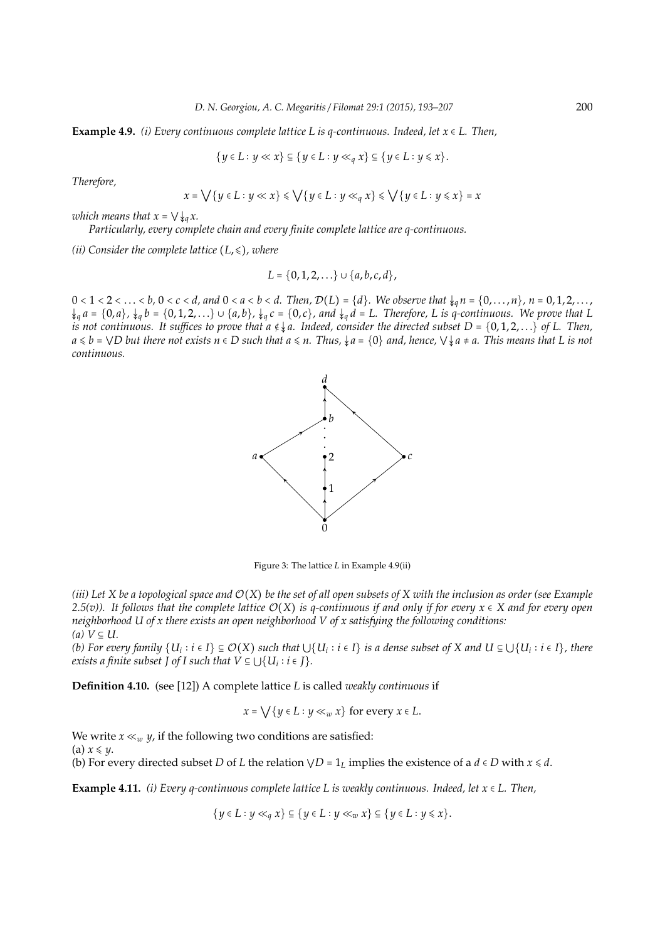**Example 4.9.** *(i) Every continuous complete lattice L is a-continuous. Indeed, let*  $x \in L$ . Then,

$$
\{y \in L : y \ll x\} \subseteq \{y \in L : y \ll_q x\} \subseteq \{y \in L : y \leq x\}.
$$

*Therefore,*

$$
x = \bigvee \{ y \in L : y \ll x \} \leq \bigvee \{ y \in L : y \ll_q x \} \leq \bigvee \{ y \in L : y \leq x \} = x
$$

*which means that*  $x = \sqrt{\frac{1}{4a}}x$ .

*Particularly, every complete chain and every finite complete lattice are q-continuous.*

*(ii)* Consider the complete lattice  $(L, \leq)$ *, where* 

$$
L = \{0, 1, 2, \ldots\} \cup \{a, b, c, d\},\
$$

 $0 < 1 < 2 < \ldots < b$ ,  $0 < c < d$ , and  $0 < a < b < d$ . Then,  $\mathcal{D}(L) = \{d\}$ . We observe that  $\downarrow_q n = \{0, \ldots, n\}$ ,  $n = 0, 1, 2, \ldots$ ,  $\downarrow_q a = \{0,a\}$ ,  $\downarrow_q b = \{0,1,2,\ldots\} \cup \{a,b\}$ ,  $\downarrow_q c = \{0,c\}$ , and  $\downarrow_q d = L$ . Therefore, L is q-continuous. We prove that L *is not continuous. It suffices to prove that a*  $\epsilon \downarrow a$ . Indeed, consider the directed subset D = {0,1,2,...} of L. Then, *a* ⩽ *b* = ⋁*D but there not exists n* ∈ *D such that a* ⩽ *n. Thus,* ↡*a* = {0} *and, hence,* ⋁↡*a* ≠ *a. This means that L is not continuous.*



Figure 3: The lattice *L* in Example 4.9(ii)

*(iii)* Let X be a topological space and  $\mathcal{O}(X)$  be the set of all open subsets of X with the inclusion as order (see Example *2.5(v)). It follows that the complete lattice* O(*X*) *is q-continuous if and only if for every x* ∈ *X and for every open neighborhood U of x there exists an open neighborhood V of x satisfying the following conditions:*  $(a)$   $V ⊆ U$ .

(b) For every family  $\{U_i:i\in I\}\subseteq\mathcal{O}(X)$  such that  $\cup\{U_i:i\in I\}$  is a dense subset of X and  $U\subseteq\cup\{U_i:i\in I\}$ , there *exists a finite subset J of I such that*  $V \subseteq \bigcup \{U_i : i \in J\}$ *.* 

**Definition 4.10.** (see [12]) A complete lattice *L* is called *weakly continuous* if

$$
x = \bigvee \{ y \in L : y \ll_w x \} \text{ for every } x \in L.
$$

We write  $x \ll_w y$ , if the following two conditions are satisfied: (a)  $x \leq y$ . (b) For every directed subset *D* of *L* the relation  $\forall D = 1_L$  implies the existence of a  $d \in D$  with  $x \le d$ .

**Example 4.11.** *(i) Every q-continuous complete lattice L is weakly continuous. Indeed, let x* ∈ *L. Then,*

 $\{y \in L : y \ll_q x\} \subseteq \{y \in L : y \ll_w x\} \subseteq \{y \in L : y \leq x\}.$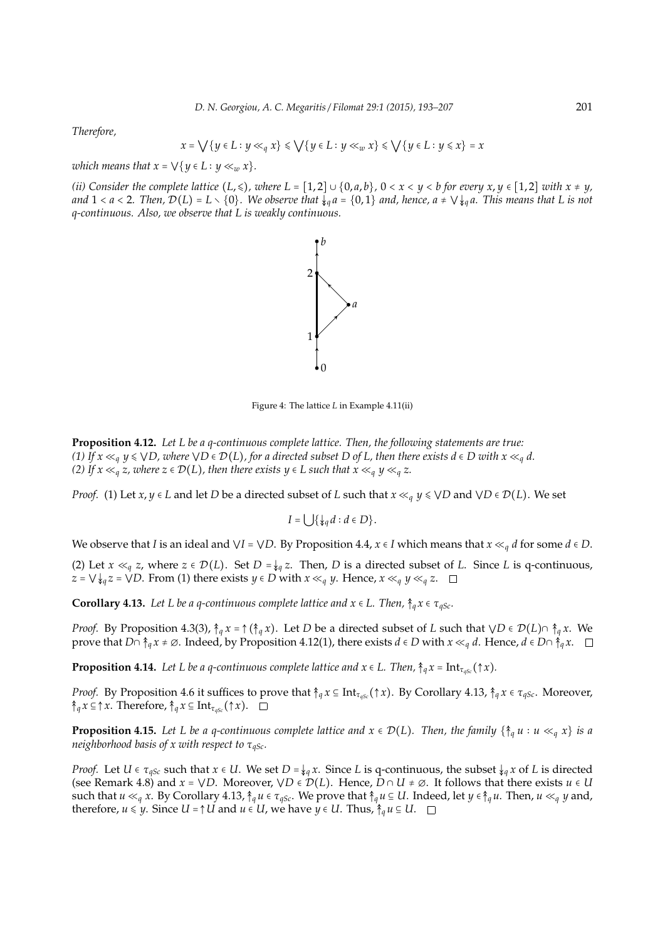*Therefore,*

$$
x = \bigvee \{ y \in L : y \ll_q x \} \leqslant \bigvee \{ y \in L : y \ll_w x \} \leqslant \bigvee \{ y \in L : y \leqslant x \} = x
$$

*which means that*  $x = \bigvee \{ y \in L : y \ll_w x \}.$ 

*(ii)* Consider the complete lattice  $(L, \leqslant)$ , where  $L = [1, 2] \cup \{0, a, b\}$ ,  $0 < x < y < b$  for every  $x, y \in [1, 2]$  with  $x \neq y$ , *and*  $1 < a < 2$ . Then,  $\mathcal{D}(L) = L \setminus \{0\}$ . We observe that  $\downarrow_q a = \{0,1\}$  and, hence,  $a \neq \bigvee \downarrow_q a$ . This means that L is not *q-continuous. Also, we observe that L is weakly continuous.*

*b*



2

Figure 4: The lattice *L* in Example 4.11(ii)

**Proposition 4.12.** *Let L be a q-continuous complete lattice. Then, the following statements are true: (1) If*  $x \ll q$   $y \le \sqrt{D}$ , where  $\sqrt{D} \in \mathcal{D}(L)$ , for a directed subset D of L, then there exists  $d \in D$  with  $x \ll_q d$ . *(2) If x* ≪<sub>*q*</sub> *z, where z* ∈  $\mathcal{D}(L)$ *, then there exists y* ∈ *L such that x* ≪<sub>*q*</sub> *y* ≪<sub>*q*</sub> *z*.

*Proof.* (1) Let *x*, *y* ∈ *L* and let *D* be a directed subset of *L* such that  $x \ll_q y \leq \sqrt{D}$  and  $\sqrt{D} \in \mathcal{D}(L)$ . We set

$$
I=\bigcup \{\downarrow_q d: d\in D\}.
$$

We observe that *I* is an ideal and  $\forall I = \forall D$ . By Proposition 4.4,  $x \in I$  which means that  $x \ll_q d$  for some  $d \in D$ .

(2) Let  $x \ll_q z$ , where  $z \in \mathcal{D}(L)$ . Set  $D = \frac{1}{2}q z$ . Then,  $D$  is a directed subset of  $L$ . Since  $L$  is q-continuous, *z* =  $\bigvee \{q\}$ *z* =  $\bigvee D$ . From (1) there exists *y* ∈ *D* with *x* ≪*q y*. Hence, *x* ≪*q y* ≪*q z*. □

**Corollary 4.13.** *Let L be a q-continuous complete lattice and*  $x \in L$ *. Then,*  $\hat{\tau}_q x \in \tau_{qSc}$ *.* 

*Proof.* By Proposition 4.3(3),  $\hat{\uparrow}_q x = \hat{\uparrow} (\hat{\uparrow}_q x)$ . Let *D* be a directed subset of *L* such that  $\forall D \in \mathcal{D}(L) \cap \hat{\uparrow}_q x$ . We prove that  $D \cap \hat{\uparrow}_a x \neq \emptyset$ . Indeed, by Proposition 4.12(1), there exists  $d \in D$  with  $x \ll_a d$ . Hence,  $d \in D \cap \hat{\uparrow}_a x$ .  $\square$ 

**Proposition 4.14.** *Let L be a q-continuous complete lattice and*  $x \in L$ *. Then,*  $\hat{\uparrow}_q x = \text{Int}_{\tau_{qSc}}(\uparrow x)$ *.* 

*Proof.* By Proposition 4.6 it suffices to prove that  $\hat{\uparrow}_q x \subseteq \text{Int}_{\tau_{qSc}}(\uparrow x)$ . By Corollary 4.13,  $\hat{\uparrow}_q x \in \tau_{qSc}$ . Moreover,  $\uparrow_{q}$ *x* ⊆  $\uparrow$  *x*. Therefore,  $\uparrow_{q}$ *x* ⊆ Int<sub>*τ<sub>aSc</sub>*( $\uparrow$  *x*). □</sub>

**Proposition 4.15.** Let L be a q-continuous complete lattice and  $x \in \mathcal{D}(L)$ . Then, the family  $\{\hat{\tau}_q u : u \ll_q x\}$  is a *neighborhood basis of x with respect to* τ<sub>*aSc*</sub>.

*Proof.* Let  $U \in \tau_{qSc}$  such that  $x \in U$ . We set  $D = \frac{1}{2}q x$ . Since *L* is q-continuous, the subset  $\frac{1}{2}q x$  of *L* is directed (see Remark 4.8) and  $x = \sqrt{D}$ . Moreover,  $\sqrt{D} \in \mathcal{D}(L)$ . Hence,  $D \cap U \neq \emptyset$ . It follows that there exists  $u \in U$ such that  $u \ll_q x$ . By Corollary 4.13,  $\hat{\uparrow}_q u \in \tau_{qSc}$ . We prove that  $\hat{\uparrow}_q u \subseteq U$ . Indeed, let  $y \in \hat{\uparrow}_q u$ . Then,  $u \ll_q y$  and, therefore, *u* ≤ *y*. Since *U* =  $\uparrow$  *U* and *u* ∈ *U*, we have *y* ∈ *U*. Thus,  $\uparrow$ <sub>*q*</sub> *u* ⊆ *U*. □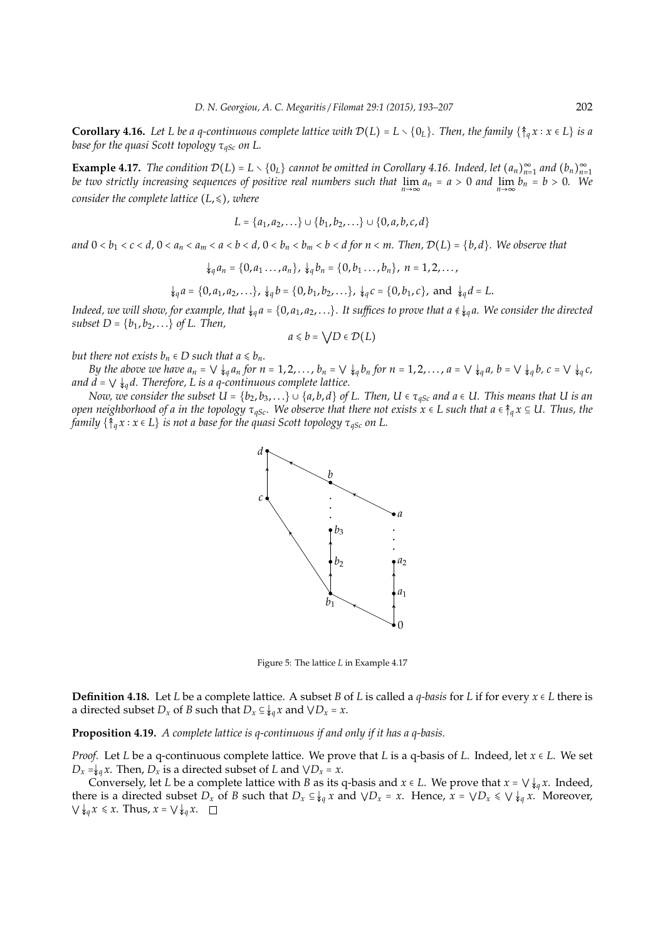**Corollary 4.16.** Let L be a q-continuous complete lattice with  $\mathcal{D}(L) = L \setminus \{0_L\}$ . Then, the family  $\{\hat{\tau}_a x : x \in L\}$  is a *base for the quasi Scott topology* τ<sub>*aSc</sub> on L.*</sub>

**Example 4.17.** The condition  $\mathcal{D}(L) = L \setminus \{0_L\}$  cannot be omitted in Corollary 4.16. Indeed, let  $(a_n)_{n=1}^{\infty}$  and  $(b_n)_{n=1}^{\infty}$ *be two strictly increasing sequences of positive real numbers such that*  $\lim_{n\to\infty} a_n = a > 0$  and  $\lim_{n\to\infty} b_n = b > 0$ . We *consider the complete lattice*  $(L, \leq)$ *, where* 

$$
L = \{a_1, a_2, \ldots\} \cup \{b_1, b_2, \ldots\} \cup \{0, a, b, c, d\}
$$

and  $0 < b_1 < c < d$ ,  $0 < a_n < a_m < a < b < d$ ,  $0 < b_n < b_m < b < d$  for  $n < m$ . Then,  $\mathcal{D}(L) = \{b, d\}$ . We observe that

$$
\downarrow_q a_n = \{0, a_1 \ldots, a_n\}, \downarrow_q b_n = \{0, b_1 \ldots, b_n\}, n = 1, 2, \ldots,
$$

 $\downarrow_q a = \{0, a_1, a_2, \ldots\}, \downarrow_q b = \{0, b_1, b_2, \ldots\}, \downarrow_q c = \{0, b_1, c\}, \text{ and } \downarrow_q d = L.$ 

*Indeed, we will show, for example, that*  $\frac{1}{4}a = \{0, a_1, a_2, ...\}$ *. It suffices to prove that*  $a \notin \frac{1}{4}a$ *. We consider the directed subset*  $D = \{b_1, b_2, ...\}$  *of L. Then,* 

$$
a \leq b = \bigvee D \in \mathcal{D}(L)
$$

*but there not exists*  $b_n \in D$  *such that*  $a \leq b_n$ *.* 

By the above we have  $a_n = \bigvee \bigvee_{q \mid a_n} a_n$  for  $n = 1, 2, ..., b_n = \bigvee \bigvee_{q \mid a_n} b_n$  for  $n = 1, 2, ..., a = \bigvee \bigvee_{q \mid a_n} b = \bigvee \bigvee_{q \mid a_n} b_n$ ,  $c = \bigvee \bigvee_{q \mid a_n} c_n$ *and*  $d = \bigvee \bigvee q$ *d. Therefore, L is a q-continuous complete lattice.* 

*Now, we consider the subset*  $U = \{b_2, b_3, ...\} \cup \{a, b, d\}$  *of L. Then,*  $U \in \tau_{qSc}$  *and*  $a \in U$ *. This means that*  $U$  *is an open neighborhood of a in the topology*  $\tau_{qSc}$ *. We observe that there not exists*  $x \in L$  *such that*  $a \in \hat{\tau}_q x \subseteq U$ . Thus, the *family* { $\{§_q x : x ∈ L\}$  *is not a base for the quasi Scott topology*  $τ_{qSc}$  *on L.* 



Figure 5: The lattice *L* in Example 4.17

**Definition 4.18.** Let *L* be a complete lattice. A subset *B* of *L* is called a *q-basis* for *L* if for every  $x \in L$  there is a directed subset  $D_x$  of *B* such that  $D_x \subseteq \mathcal{L}_a x$  and  $\forall D_x = x$ .

**Proposition 4.19.** *A complete lattice is q-continuous if and only if it has a q-basis.*

*Proof.* Let *L* be a q-continuous complete lattice. We prove that *L* is a q-basis of *L*. Indeed, let *x* ∈ *L*. We set  $D_x = \frac{1}{2}a x$ . Then,  $D_x$  is a directed subset of *L* and  $\sqrt{D_x} = x$ .

Conversely, let *L* be a complete lattice with *B* as its q-basis and  $x \in L$ . We prove that  $x = \sqrt{\frac{1}{2}a}x$ . Indeed, there is a directed subset  $D_x$  of *B* such that  $D_x \subseteq \mathcal{L}_q x$  and  $\forall D_x = x$ . Hence,  $x = \forall D_x \leq \forall \mathcal{L}_q x$ . Moreover,  $\bigvee \oint_{q} x \leq x$ . Thus,  $x = \bigvee \oint_{q} x$ .  $\Box$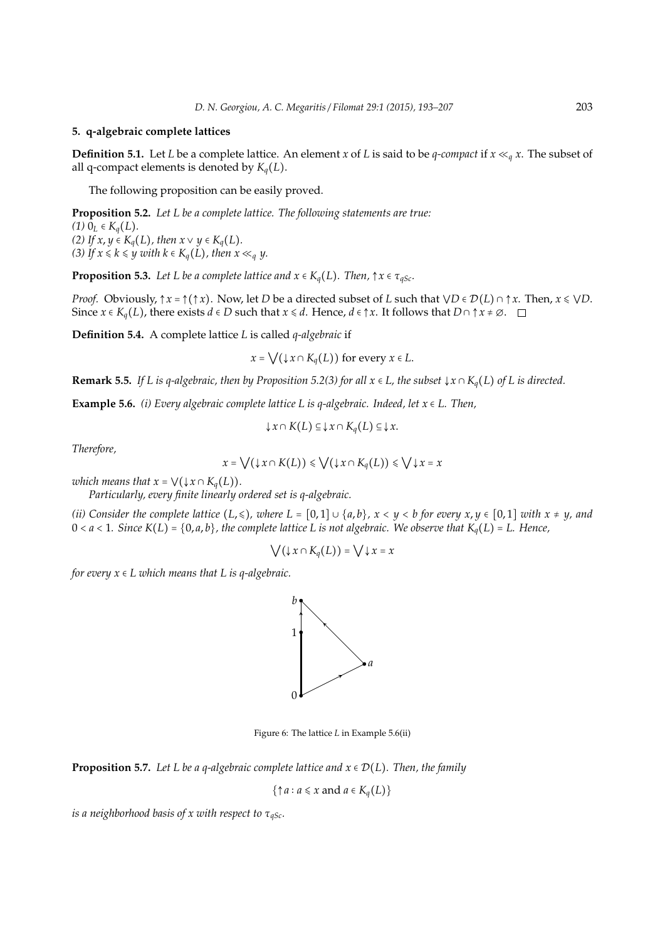#### **5. q-algebraic complete lattices**

**Definition 5.1.** Let *L* be a complete lattice. An element *x* of *L* is said to be *q*-compact if  $x \ll_q x$ . The subset of all q-compact elements is denoted by  $K_q(L)$ .

The following proposition can be easily proved.

**Proposition 5.2.** *Let L be a complete lattice. The following statements are true: (1)*  $0_L$  ∈  $K_q(L)$ . *(2) If x*, *y* ∈ *K*<sub>*a*</sub>(*L*)*, then x*  $\vee$  *y* ∈ *K*<sub>*a*</sub>(*L*)*. (3)* If  $x \le k \le y$  with  $k \in K_q(L)$ , then  $x \ll_q y$ .

**Proposition 5.3.** *Let L be a complete lattice and*  $x \in K_q(L)$ *. Then,*  $\uparrow x \in \tau_{qSc}$ *.* 

*Proof.* Obviously,  $\uparrow x = \uparrow (\uparrow x)$ . Now, let *D* be a directed subset of *L* such that  $\forall D \in \mathcal{D}(L) \cap \uparrow x$ . Then,  $x \leq \forall D$ . Since  $x \in K_q(L)$ , there exists  $d \in D$  such that  $x \leq d$ . Hence,  $d \in \uparrow x$ . It follows that  $D \cap \uparrow x \neq \emptyset$ .  $\square$ 

**Definition 5.4.** A complete lattice *L* is called *q-algebraic* if

 $x = \bigvee (\downarrow x \cap K_a(L))$  for every  $x \in L$ .

**Remark 5.5.** *If L is q-algebraic, then by Proposition 5.2(3) for all*  $x \in L$ *, the subset*  $\downarrow x \cap K_q(L)$  *of L is directed.* 

**Example 5.6.** *(i) Every algebraic complete lattice L is q-algebraic. Indeed, let*  $x \in L$ . Then,

$$
\downarrow x \cap K(L) \subseteq \downarrow x \cap K_q(L) \subseteq \downarrow x.
$$

*Therefore,*

$$
x = \bigvee (\downarrow x \cap K(L)) \leq \bigvee (\downarrow x \cap K_q(L)) \leq \bigvee \downarrow x = x
$$

*which means that*  $x = \bigvee (\downarrow x \cap K_q(L))$ *.* 

*Particularly, every finite linearly ordered set is q-algebraic.*

*(ii)* Consider the complete lattice  $(L, \leqslant)$ , where  $L = [0, 1] \cup \{a, b\}$ ,  $x < y < b$  for every  $x, y \in [0, 1]$  with  $x \neq y$ , and  $0 < a < 1$ . Since  $K(L) = \{0, a, b\}$ , the complete lattice L is not algebraic. We observe that  $K_q(L) = L$ . Hence,

$$
\bigvee(\downarrow x \cap K_q(L)) = \bigvee \downarrow x = x
$$

*for every*  $x \in L$  *which means that*  $L$  *is q-algebraic.* 



Figure 6: The lattice *L* in Example 5.6(ii)

**Proposition 5.7.** Let L be a q-algebraic complete lattice and  $x \in \mathcal{D}(L)$ . Then, the family

$$
\{\uparrow a : a \leq x \text{ and } a \in K_q(L)\}\
$$

*is a neighborhood basis of x with respect to* τ*qSc.*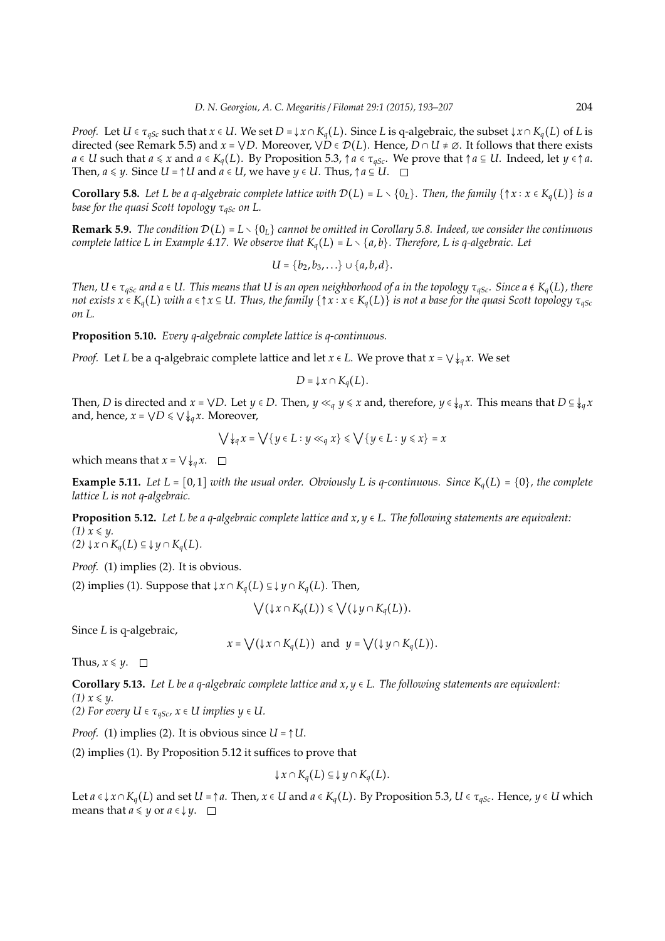*Proof.* Let  $U \in \tau_{aSc}$  such that  $x \in U$ . We set  $D = \{x \cap K_a(L)\}$ . Since L is q-algebraic, the subset  $\{x \cap K_a(L)\}$  of L is directed (see Remark 5.5) and  $x = \sqrt{D}$ . Moreover,  $\sqrt{D} \in \mathcal{D}(L)$ . Hence,  $D \cap U \neq \emptyset$ . It follows that there exists *a* ∈ *U* such that *a* ≤ *x* and *a* ∈  $K_q(L)$ . By Proposition 5.3,  $\uparrow$  *a* ∈  $\tau_{qSc}$ . We prove that  $\uparrow$  *a* ⊆ *U*. Indeed, let *y* ∈  $\uparrow$  *a*. Then,  $a \leq y$ . Since  $U = \uparrow U$  and  $a \in U$ , we have  $y \in U$ . Thus,  $\uparrow a \subseteq U$ .  $\square$ 

**Corollary 5.8.** Let L be a q-algebraic complete lattice with  $\mathcal{D}(L) = L \setminus \{0_L\}$ . Then, the family  $\{\uparrow x : x \in K_q(L)\}$  is a *base for the quasi Scott topology* τ<sub>*aSc</sub> on L.*</sub>

**Remark 5.9.** *The condition*  $\mathcal{D}(L) = L \setminus \{0_L\}$  *cannot be omitted in Corollary 5.8. Indeed, we consider the continuous complete lattice L in Example 4.17. We observe that*  $K_q(L) = L \setminus \{a, b\}$ *. Therefore, L is q-algebraic. Let* 

$$
U = \{b_2, b_3, \ldots\} \cup \{a, b, d\}.
$$

*Then,*  $U \in \tau_{qSc}$  *and*  $a \in U$ . This means that U is an open neighborhood of a in the topology  $\tau_{qSc}$ . Since  $a \notin K_q(L)$ , there *not exists*  $x \in K_q(L)$  *with*  $a \in \uparrow x \subseteq U$ . Thus, the family  $\{\uparrow x : x \in K_q(L)\}$  *is not a base for the quasi Scott topology*  $\tau_{qSc}$ *on L.*

**Proposition 5.10.** *Every q-algebraic complete lattice is q-continuous.*

*Proof.* Let *L* be a q-algebraic complete lattice and let  $x \in L$ . We prove that  $x = \bigvee \{x \in L : x \in L\}$ .

 $D = \downarrow x \cap K_q(L)$ .

Then, *D* is directed and  $x = \sqrt{D}$ . Let  $y \in D$ . Then,  $y \ll_q y \leq x$  and, therefore,  $y \in \frac{1}{q}x$ . This means that  $D \subseteq \frac{1}{q}x$ and, hence,  $x = \sqrt{D} \leq \sqrt{\sqrt{a}} x$ . Moreover,

$$
\bigvee \downarrow_q x = \bigvee \{ y \in L : y \ll_q x \} \leq \bigvee \{ y \in L : y \leq x \} = x
$$

which means that  $x = \bigvee \bigvee q x$ .  $\Box$ 

**Example 5.11.** Let  $L = [0, 1]$  *with the usual order. Obviously L is q-continuous. Since*  $K_q(L) = \{0\}$ *, the complete lattice L is not q-algebraic.*

**Proposition 5.12.** *Let L be a q-algebraic complete lattice and x*, *y* ∈ *L. The following statements are equivalent:*  $(1)$   $x \leq y$ . *(2)* ↓*x* ∩ *Kq*(*L*) ⊆ ↓ *y* ∩ *Kq*(*L*)*.*

*Proof.* (1) implies (2). It is obvious.

(2) implies (1). Suppose that  $\downarrow x \cap K_q(L) \subseteq \downarrow y \cap K_q(L)$ . Then,

$$
\bigvee (\downarrow x \cap K_q(L)) \leq \bigvee (\downarrow y \cap K_q(L)).
$$

Since *L* is q-algebraic,

$$
x = \bigvee (\downarrow x \cap K_q(L))
$$
 and  $y = \bigvee (\downarrow y \cap K_q(L)).$ 

Thus,  $x \leq y$ .  $\Box$ 

**Corollary 5.13.** *Let L be a q-algebraic complete lattice and x*, *y* ∈ *L. The following statements are equivalent:*  $(1)$   $x \leq y$ .

*(2) For every U*  $\in \tau_{qSc}$ *, x*  $\in$  *U implies y*  $\in$  *U.* 

*Proof.* (1) implies (2). It is obvious since  $U = \uparrow U$ .

(2) implies (1). By Proposition 5.12 it suffices to prove that

$$
\downarrow x \cap K_q(L) \subseteq \downarrow y \cap K_q(L).
$$

Let  $a \in \{x \cap K_q(L) \text{ and set } U = \uparrow a$ . Then,  $x \in U$  and  $a \in K_q(L)$ . By Proposition 5.3,  $U \in \tau_{qSc}$ . Hence,  $y \in U$  which means that  $a \leq y$  or  $a \in \downarrow y$ .  $\square$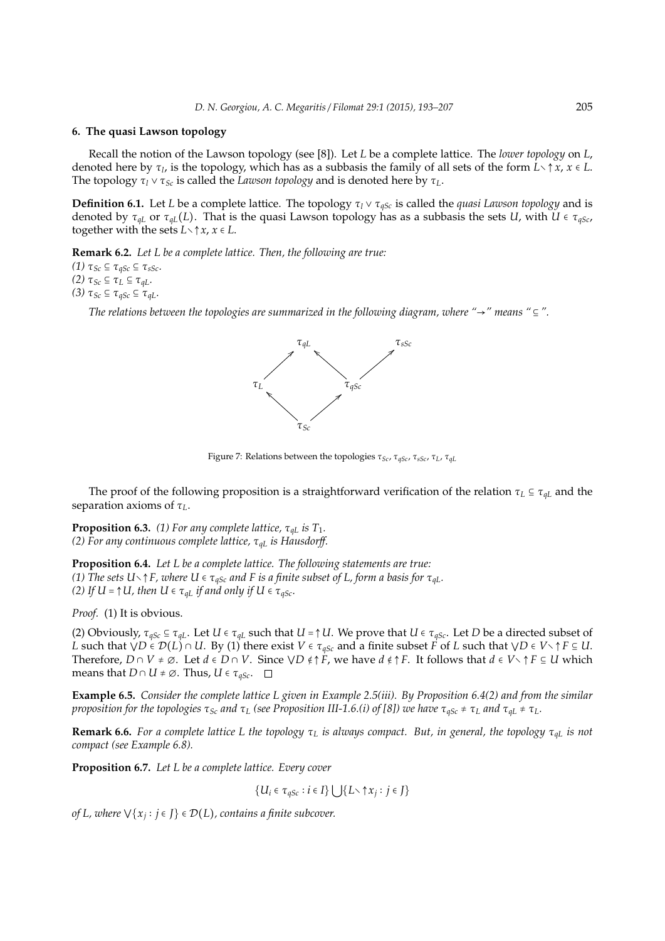#### **6. The quasi Lawson topology**

Recall the notion of the Lawson topology (see [8]). Let *L* be a complete lattice. The *lower topology* on *L*, denoted here by τ*<sup>l</sup>* , is the topology, which has as a subbasis the family of all sets of the form *L*∖ ↑ *x*, *x* ∈ *L*. The topology  $\tau_l \vee \tau_{Sc}$  is called the *Lawson topology* and is denoted here by  $\tau_L$ .

**Definition 6.1.** Let *L* be a complete lattice. The topology τ*<sup>l</sup>* ∨ τ*qSc* is called the *quasi Lawson topology* and is denoted by  $\tau_{qL}$  or  $\tau_{qL}(L)$ . That is the quasi Lawson topology has as a subbasis the sets *U*, with *U*  $\epsilon \tau_{qSc}$ , together with the sets  $L \setminus \uparrow x$ ,  $x \in L$ .

**Remark 6.2.** *Let L be a complete lattice. Then, the following are true:*

*(1)*  $τ_{Sc}$  ⊆  $τ_{qSc}$  ⊆  $τ_{sSc}$ *. (2)*  $τ_{Sc}$  ⊆  $τ_L$  ⊆  $τ_{gL}$ *. (3)*  $τ_{Sc} ⊆ τ_{qSc} ⊆ τ_{qL}$ .

*The relations between the topologies are summarized in the following diagram, where "* $\rightarrow$ *" means "*  $\subseteq$ ".



Figure 7: Relations between the topologies τ*Sc*, τ*qSc*, τ*sSc*, τ*L*, τ*qL*

The proof of the following proposition is a straightforward verification of the relation  $\tau_L \subseteq \tau_{qL}$  and the separation axioms of τ*L*.

**Proposition 6.3.** (1) For any complete lattice,  $\tau_{qL}$  is  $T_1$ . *(2) For any continuous complete lattice,* τ*qL is Hausdor*ff*.*

**Proposition 6.4.** *Let L be a complete lattice. The following statements are true: (1) The sets U* $\setminus \uparrow$ *F, where U*  $\in \tau_{qSc}$  *and F is a finite subset of L, form a basis for*  $\tau_{qL}$ *. (2) If U* =  $\uparrow$  *U, then U*  $\in \tau_{qL}$  *if and only if U*  $\in \tau_{qSc}$ *.* 

*Proof.* (1) It is obvious.

(2) Obviously,  $\tau_{aSc} \subseteq \tau_{aL}$ . Let *U*  $\in \tau_{aL}$  such that *U* =  $\uparrow$  *U*. We prove that *U*  $\in \tau_{aSc}$ . Let *D* be a directed subset of *L* such that  $\forall D \in \mathcal{D}(L) \cap U$ . By (1) there exist  $V \in \tau_{qSc}$  and a finite subset *F* of *L* such that  $\forall D \in V \setminus \uparrow F \subseteq U$ . Therefore,  $D \cap V \neq \emptyset$ . Let  $d \in D \cap V$ . Since  $\bigvee D \notin \uparrow F$ , we have  $d \notin \uparrow F$ . It follows that  $d \in V \setminus \uparrow F \subseteq U$  which means that  $D \cap U \neq \emptyset$ . Thus,  $U \in \tau_{\text{aSc}}$ .  $\square$ 

**Example 6.5.** *Consider the complete lattice L given in Example 2.5(iii). By Proposition 6.4(2) and from the similar proposition for the topologies*  $\tau_{Sc}$  *and*  $\tau_L$  (see Proposition III-1.6.(i) of [8]) we have  $\tau_{aSc} \neq \tau_L$  *and*  $\tau_{aL} \neq \tau_L$ *.* 

**Remark 6.6.** *For a complete lattice L the topology* τ*<sup>L</sup> is always compact. But, in general, the topology* τ*qL is not compact (see Example 6.8).*

**Proposition 6.7.** *Let L be a complete lattice. Every cover*

$$
\{U_i \in \tau_{qSc} : i \in I\} \cup \{L \setminus \uparrow x_j : j \in J\}
$$

*of L, where* ∨{ $x_j$ :  $j$  ∈  $J$ } ∈  $\mathcal{D}(L)$ , contains a finite subcover.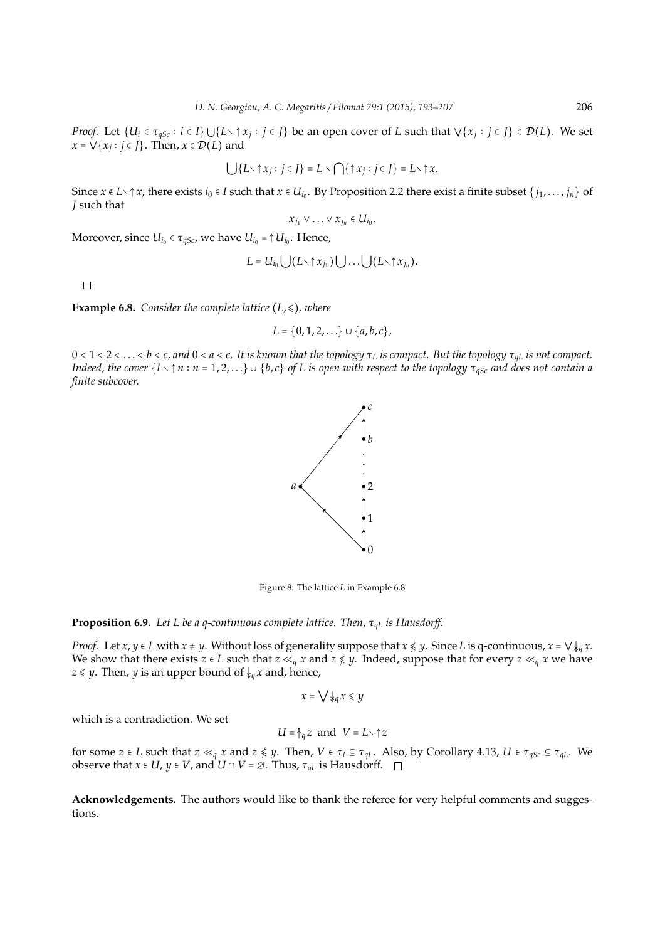*Proof.* Let  $\{U_i \in \tau_{qSc}: i \in I\} \cup \{L \setminus \uparrow x_j : j \in J\}$  be an open cover of L such that  $\vee \{x_j : j \in J\} \in \mathcal{D}(L)$ . We set  $x = \bigvee \{x_j : j \in J\}$ . Then,  $x \in \mathcal{D}(L)$  and

$$
\bigcup \{L \setminus \uparrow x_j : j \in J\} = L \setminus \bigcap \{\uparrow x_j : j \in J\} = L \setminus \uparrow x.
$$

Since  $x \notin L \setminus \uparrow x$ , there exists  $i_0 \in I$  such that  $x \in U_{i_0}$ . By Proposition 2.2 there exist a finite subset  $\{j_1, \ldots, j_n\}$  of *J* such that

$$
x_{j_1}\vee\ldots\vee x_{j_n}\in U_{i_0}.
$$

Moreover, since  $U_{i_0} \in \tau_{qSc}$ , we have  $U_{i_0}$  = ↑  $U_{i_0}$ . Hence,

$$
L = U_{i_0} \bigcup (L \setminus \uparrow x_{j_1}) \bigcup \ldots \bigcup (L \setminus \uparrow x_{j_n}).
$$

 $\Box$ 

**Example 6.8.** *Consider the complete lattice*  $(L, \leq)$ *, where* 

$$
L = \{0, 1, 2, \ldots\} \cup \{a, b, c\},\
$$

0 < 1 < 2 < . . . < *b* < *c, and* 0 < *a* < *c. It is known that the topology* τ*<sup>L</sup> is compact. But the topology* τ*qL is not compact. Indeed, the cover*  $\{L\setminus\uparrow n:n=1,2,...\}\cup\{b,c\}$  *of L is open with respect to the topology*  $\tau_{qSc}$  *and does not contain a finite subcover.*



Figure 8: The lattice *L* in Example 6.8

## **Proposition 6.9.** *Let L be a q-continuous complete lattice. Then,* τ*qL is Hausdor*ff*.*

*Proof.* Let *x*, *y* ∈ *L* with *x* ≠ *y*. Without loss of generality suppose that *x*  $\leq$  *y*. Since *L* is q-continuous, *x* =  $\vee \downarrow_{q} x$ . We show that there exists *z* ∈ *L* such that *z* ≪<sub>*q*</sub> *x* and *z*  $\nleq$  *y*. Indeed, suppose that for every *z* ≪<sub>*q*</sub> *x* we have *z*  $\le$  *y*. Then, *y* is an upper bound of  $\downarrow_q x$  and, hence,

$$
x = \bigvee \downarrow_q x \leq y
$$

which is a contradiction. We set

$$
U = \hat{\uparrow}_q z \text{ and } V = L \setminus \uparrow z
$$

for some  $z \in L$  such that  $z \ll_q x$  and  $z \notin y$ . Then,  $V \in \tau_l \subseteq \tau_{qL}$ . Also, by Corollary 4.13,  $U \in \tau_{qSc} \subseteq \tau_{qL}$ . We observe that  $x \in U$ ,  $y \in V$ , and  $U \cap V = \emptyset$ . Thus,  $\tau_{qL}$  is Hausdorff.  $\square$ 

**Acknowledgements.** The authors would like to thank the referee for very helpful comments and suggestions.